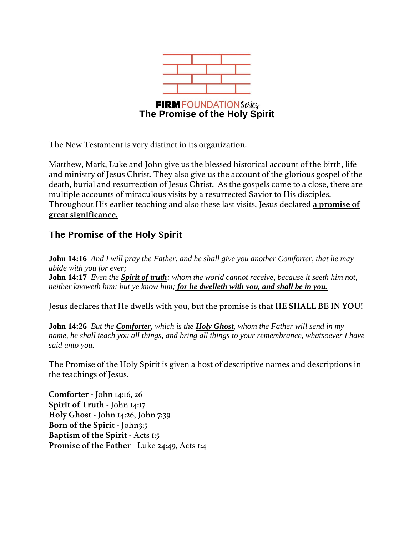

The New Testament is very distinct in its organization.

Matthew, Mark, Luke and John give us the blessed historical account of the birth, life and ministry of Jesus Christ. They also give us the account of the glorious gospel of the death, burial and resurrection of Jesus Christ. As the gospels come to a close, there are multiple accounts of miraculous visits by a resurrected Savior to His disciples. Throughout His earlier teaching and also these last visits, Jesus declared **a promise of great significance.**

# **The Promise of the Holy Spirit**

**John 14:16** *And I will pray the Father, and he shall give you another Comforter, that he may abide with you for ever;* **John 14:17** *Even the Spirit of truth; whom the world cannot receive, because it seeth him not, neither knoweth him: but ye know him; for he dwelleth with you, and shall be in you.*

Jesus declares that He dwells with you, but the promise is that **HE SHALL BE IN YOU!**

**John 14:26** *But the Comforter, which is the Holy Ghost, whom the Father will send in my name, he shall teach you all things, and bring all things to your remembrance, whatsoever I have said unto you.* 

The Promise of the Holy Spirit is given a host of descriptive names and descriptions in the teachings of Jesus.

**Comforter** - John 14:16, 26 **Spirit of Truth** - John 14:17 **Holy Ghost** - John 14:26, John 7:39 **Born of the Spirit -** John3:5 **Baptism of the Spirit** - Acts 1:5 **Promise of the Father** - Luke 24:49, Acts 1:4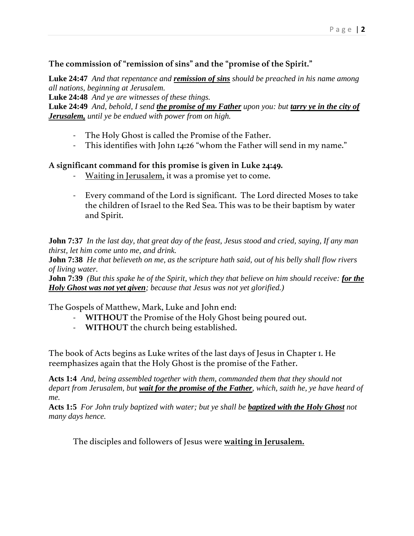## **The commission of "remission of sins" and the "promise of the Spirit."**

**Luke 24:47** *And that repentance and remission of sins should be preached in his name among all nations, beginning at Jerusalem.*

**Luke 24:48** *And ye are witnesses of these things.*

**Luke 24:49** *And, behold, I send the promise of my Father upon you: but tarry ye in the city of Jerusalem, until ye be endued with power from on high.* 

- The Holy Ghost is called the Promise of the Father.
- This identifies with John 14:26 "whom the Father will send in my name."

#### **A significant command for this promise is given in Luke 24:49.**

- Waiting in Jerusalem, it was a promise yet to come.
- Every command of the Lord is significant. The Lord directed Moses to take the children of Israel to the Red Sea. This was to be their baptism by water and Spirit.

**John 7:37** *In the last day, that great day of the feast, Jesus stood and cried, saying, If any man thirst, let him come unto me, and drink.*

**John 7:38** *He that believeth on me, as the scripture hath said, out of his belly shall flow rivers of living water.*

**John 7:39** *(But this spake he of the Spirit, which they that believe on him should receive: for the Holy Ghost was not yet given; because that Jesus was not yet glorified.)*

The Gospels of Matthew, Mark, Luke and John end:

- **WITHOUT** the Promise of the Holy Ghost being poured out.
- **WITHOUT** the church being established.

The book of Acts begins as Luke writes of the last days of Jesus in Chapter 1. He reemphasizes again that the Holy Ghost is the promise of the Father.

**Acts 1:4** *And, being assembled together with them, commanded them that they should not depart from Jerusalem, but wait for the promise of the Father, which, saith he, ye have heard of me.*

**Acts 1:5** *For John truly baptized with water; but ye shall be baptized with the Holy Ghost not many days hence.*

The disciples and followers of Jesus were **waiting in Jerusalem.**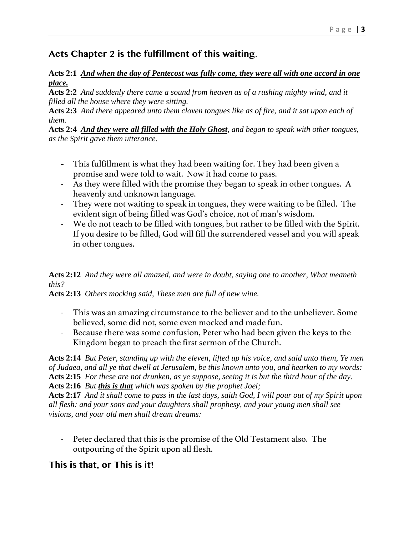# **Acts Chapter 2 is the fulfillment of this waiting**.

#### **Acts 2:1** *And when the day of Pentecost was fully come, they were all with one accord in one place.*

**Acts 2:2** *And suddenly there came a sound from heaven as of a rushing mighty wind, and it filled all the house where they were sitting.*

**Acts 2:3** *And there appeared unto them cloven tongues like as of fire, and it sat upon each of them.*

**Acts 2:4** *And they were all filled with the Holy Ghost, and began to speak with other tongues, as the Spirit gave them utterance.*

- This fulfillment is what they had been waiting for. They had been given a promise and were told to wait. Now it had come to pass.
- As they were filled with the promise they began to speak in other tongues. A heavenly and unknown language.
- They were not waiting to speak in tongues, they were waiting to be filled. The evident sign of being filled was God's choice, not of man's wisdom.
- We do not teach to be filled with tongues, but rather to be filled with the Spirit. If you desire to be filled, God will fill the surrendered vessel and you will speak in other tongues.

## **Acts 2:12** *And they were all amazed, and were in doubt, saying one to another, What meaneth this?*

**Acts 2:13** *Others mocking said, These men are full of new wine.*

- This was an amazing circumstance to the believer and to the unbeliever. Some believed, some did not, some even mocked and made fun.
- Because there was some confusion, Peter who had been given the keys to the Kingdom began to preach the first sermon of the Church.

**Acts 2:14** *But Peter, standing up with the eleven, lifted up his voice, and said unto them, Ye men of Judaea, and all ye that dwell at Jerusalem, be this known unto you, and hearken to my words:* **Acts 2:15** *For these are not drunken, as ye suppose, seeing it is but the third hour of the day.* **Acts 2:16** *But this is that which was spoken by the prophet Joel;*

**Acts 2:17** *And it shall come to pass in the last days, saith God, I will pour out of my Spirit upon all flesh: and your sons and your daughters shall prophesy, and your young men shall see visions, and your old men shall dream dreams:*

- Peter declared that this is the promise of the Old Testament also. The outpouring of the Spirit upon all flesh.

# **This is that, or This is it!**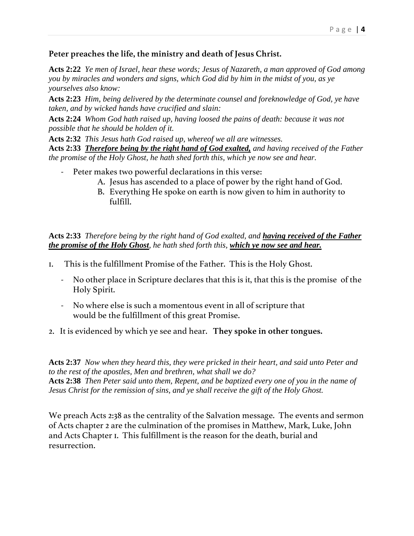#### **Peter preaches the life, the ministry and death of Jesus Christ.**

**Acts 2:22** *Ye men of Israel, hear these words; Jesus of Nazareth, a man approved of God among you by miracles and wonders and signs, which God did by him in the midst of you, as ye yourselves also know:*

**Acts 2:23** *Him, being delivered by the determinate counsel and foreknowledge of God, ye have taken, and by wicked hands have crucified and slain:*

**Acts 2:24** *Whom God hath raised up, having loosed the pains of death: because it was not possible that he should be holden of it.* 

**Acts 2:32** *This Jesus hath God raised up, whereof we all are witnesses.*

**Acts 2:33** *Therefore being by the right hand of God exalted, and having received of the Father the promise of the Holy Ghost, he hath shed forth this, which ye now see and hear.*

- Peter makes two powerful declarations in this verse:
	- A. Jesus has ascended to a place of power by the right hand of God.
	- B. Everything He spoke on earth is now given to him in authority to fulfill.

#### **Acts 2:33** *Therefore being by the right hand of God exalted, and having received of the Father the promise of the Holy Ghost, he hath shed forth this, which ye now see and hear.*

- 1. This is the fulfillment Promise of the Father. This is the Holy Ghost.
	- No other place in Scripture declares that this is it, that this is the promise of the Holy Spirit.
	- No where else is such a momentous event in all of scripture that would be the fulfillment of this great Promise.
- 2. It is evidenced by which ye see and hear. **They spoke in other tongues.**

**Acts 2:37** *Now when they heard this, they were pricked in their heart, and said unto Peter and to the rest of the apostles, Men and brethren, what shall we do?* **Acts 2:38** *Then Peter said unto them, Repent, and be baptized every one of you in the name of Jesus Christ for the remission of sins, and ye shall receive the gift of the Holy Ghost.*

We preach Acts 2:38 as the centrality of the Salvation message. The events and sermon of Acts chapter 2 are the culmination of the promises in Matthew, Mark, Luke, John and Acts Chapter 1. This fulfillment is the reason for the death, burial and resurrection.